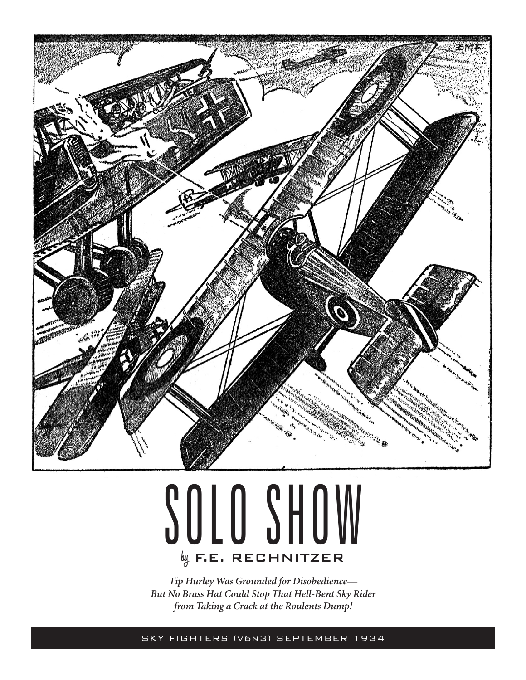

## SOLO SHOW **by** F.E. RECHNITZER

*Tip Hurley Was Grounded for Disobedience— But No Brass Hat Could Stop That Hell-Bent Sky Rider from Taking a Crack at the Roulents Dump!*

SKY FIGHTERS (v6n3) SEPTEMBER 1934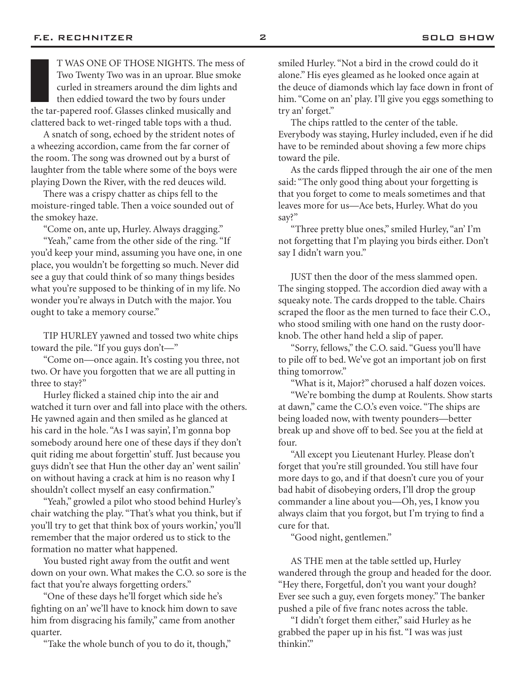T WAS ONE OF THOSE NIGHTS. The mess<br>Two Twenty Two was in an uproar. Blue smol<br>curled in streamers around the dim lights and<br>then eddied toward the two by fours under<br>the tar-papered roof. Glasses clinked musically and T WAS ONE OF THOSE NIGHTS. The mess of Two Twenty Two was in an uproar. Blue smoke curled in streamers around the dim lights and then eddied toward the two by fours under clattered back to wet-ringed table tops with a thud.

A snatch of song, echoed by the strident notes of a wheezing accordion, came from the far corner of the room. The song was drowned out by a burst of laughter from the table where some of the boys were playing Down the River, with the red deuces wild.

There was a crispy chatter as chips fell to the moisture-ringed table. Then a voice sounded out of the smokey haze.

"Come on, ante up, Hurley. Always dragging."

"Yeah," came from the other side of the ring. "If you'd keep your mind, assuming you have one, in one place, you wouldn't be forgetting so much. Never did see a guy that could think of so many things besides what you're supposed to be thinking of in my life. No wonder you're always in Dutch with the major. You ought to take a memory course."

TIP HURLEY yawned and tossed two white chips toward the pile. "If you guys don't—"

"Come on—once again. It's costing you three, not two. Or have you forgotten that we are all putting in three to stay?"

Hurley flicked a stained chip into the air and watched it turn over and fall into place with the others. He yawned again and then smiled as he glanced at his card in the hole. "As I was sayin', I'm gonna bop somebody around here one of these days if they don't quit riding me about forgettin' stuff. Just because you guys didn't see that Hun the other day an' went sailin' on without having a crack at him is no reason why I shouldn't collect myself an easy confirmation."

"Yeah," growled a pilot who stood behind Hurley's chair watching the play. "That's what you think, but if you'll try to get that think box of yours workin,' you'll remember that the major ordered us to stick to the formation no matter what happened.

You busted right away from the outfit and went down on your own. What makes the C.O. so sore is the fact that you're always forgetting orders."

"One of these days he'll forget which side he's fighting on an' we'll have to knock him down to save him from disgracing his family," came from another quarter.

"Take the whole bunch of you to do it, though,"

smiled Hurley. "Not a bird in the crowd could do it alone." His eyes gleamed as he looked once again at the deuce of diamonds which lay face down in front of him. "Come on an' play. I'll give you eggs something to try an' forget."

The chips rattled to the center of the table. Everybody was staying, Hurley included, even if he did have to be reminded about shoving a few more chips toward the pile.

As the cards flipped through the air one of the men said: "The only good thing about your forgetting is that you forget to come to meals sometimes and that leaves more for us—Ace bets, Hurley. What do you say?"

"Three pretty blue ones," smiled Hurley, "an' I'm not forgetting that I'm playing you birds either. Don't say I didn't warn you."

JUST then the door of the mess slammed open. The singing stopped. The accordion died away with a squeaky note. The cards dropped to the table. Chairs scraped the floor as the men turned to face their C.O., who stood smiling with one hand on the rusty doorknob. The other hand held a slip of paper.

"Sorry, fellows," the C.O. said. "Guess you'll have to pile off to bed. We've got an important job on first thing tomorrow."

"What is it, Major?" chorused a half dozen voices. "We're bombing the dump at Roulents. Show starts at dawn," came the C.O.'s even voice. "The ships are being loaded now, with twenty pounders—better break up and shove off to bed. See you at the field at four.

"All except you Lieutenant Hurley. Please don't forget that you're still grounded. You still have four more days to go, and if that doesn't cure you of your bad habit of disobeying orders, I'll drop the group commander a line about you—Oh, yes, I know you always claim that you forgot, but I'm trying to find a cure for that.

"Good night, gentlemen."

AS THE men at the table settled up, Hurley wandered through the group and headed for the door. "Hey there, Forgetful, don't you want your dough? Ever see such a guy, even forgets money." The banker pushed a pile of five franc notes across the table.

"I didn't forget them either," said Hurley as he grabbed the paper up in his fist. "I was was just thinkin'."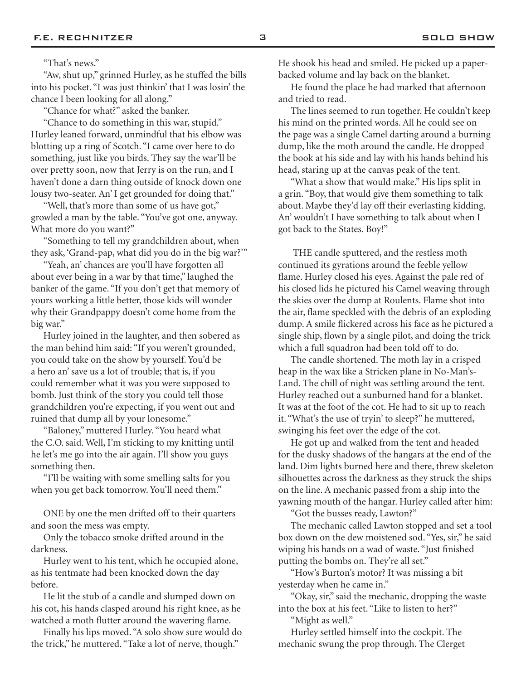## "That's news."

"Aw, shut up," grinned Hurley, as he stuffed the bills into his pocket. "I was just thinkin' that I was losin' the chance I been looking for all along."

"Chance for what?" asked the banker.

"Chance to do something in this war, stupid." Hurley leaned forward, unmindful that his elbow was blotting up a ring of Scotch. "I came over here to do something, just like you birds. They say the war'll be over pretty soon, now that Jerry is on the run, and I haven't done a darn thing outside of knock down one lousy two-seater. An' I get grounded for doing that."

"Well, that's more than some of us have got," growled a man by the table. "You've got one, anyway. What more do you want?"

"Something to tell my grandchildren about, when they ask, 'Grand-pap, what did you do in the big war?'"

"Yeah, an' chances are you'll have forgotten all about ever being in a war by that time," laughed the banker of the game. "If you don't get that memory of yours working a little better, those kids will wonder why their Grandpappy doesn't come home from the big war."

Hurley joined in the laughter, and then sobered as the man behind him said: "If you weren't grounded, you could take on the show by yourself. You'd be a hero an' save us a lot of trouble; that is, if you could remember what it was you were supposed to bomb. Just think of the story you could tell those grandchildren you're expecting, if you went out and ruined that dump all by your lonesome."

"Baloney," muttered Hurley. "You heard what the C.O. said. Well, I'm sticking to my knitting until he let's me go into the air again. I'll show you guys something then.

"I'll be waiting with some smelling salts for you when you get back tomorrow. You'll need them."

ONE by one the men drifted off to their quarters and soon the mess was empty.

Only the tobacco smoke drifted around in the darkness.

Hurley went to his tent, which he occupied alone, as his tentmate had been knocked down the day before.

He lit the stub of a candle and slumped down on his cot, his hands clasped around his right knee, as he watched a moth flutter around the wavering flame.

Finally his lips moved. "A solo show sure would do the trick," he muttered. "Take a lot of nerve, though."

He shook his head and smiled. He picked up a paperbacked volume and lay back on the blanket.

He found the place he had marked that afternoon and tried to read.

The lines seemed to run together. He couldn't keep his mind on the printed words. All he could see on the page was a single Camel darting around a burning dump, like the moth around the candle. He dropped the book at his side and lay with his hands behind his head, staring up at the canvas peak of the tent.

"What a show that would make." His lips split in a grin. "Boy, that would give them something to talk about. Maybe they'd lay off their everlasting kidding. An' wouldn't I have something to talk about when I got back to the States. Boy!"

 THE candle sputtered, and the restless moth continued its gyrations around the feeble yellow flame. Hurley closed his eyes. Against the pale red of his closed lids he pictured his Camel weaving through the skies over the dump at Roulents. Flame shot into the air, flame speckled with the debris of an exploding dump. A smile flickered across his face as he pictured a single ship, flown by a single pilot, and doing the trick which a full squadron had been told off to do.

The candle shortened. The moth lay in a crisped heap in the wax like a Stricken plane in No-Man's-Land. The chill of night was settling around the tent. Hurley reached out a sunburned hand for a blanket. It was at the foot of the cot. He had to sit up to reach it. "What's the use of tryin' to sleep?" he muttered, swinging his feet over the edge of the cot.

He got up and walked from the tent and headed for the dusky shadows of the hangars at the end of the land. Dim lights burned here and there, threw skeleton silhouettes across the darkness as they struck the ships on the line. A mechanic passed from a ship into the yawning mouth of the hangar. Hurley called after him:

"Got the busses ready, Lawton?"

The mechanic called Lawton stopped and set a tool box down on the dew moistened sod. "Yes, sir," he said wiping his hands on a wad of waste. "Just finished putting the bombs on. They're all set."

"How's Burton's motor? It was missing a bit yesterday when he came in."

"Okay, sir," said the mechanic, dropping the waste into the box at his feet. "Like to listen to her?"

"Might as well."

Hurley settled himself into the cockpit. The mechanic swung the prop through. The Clerget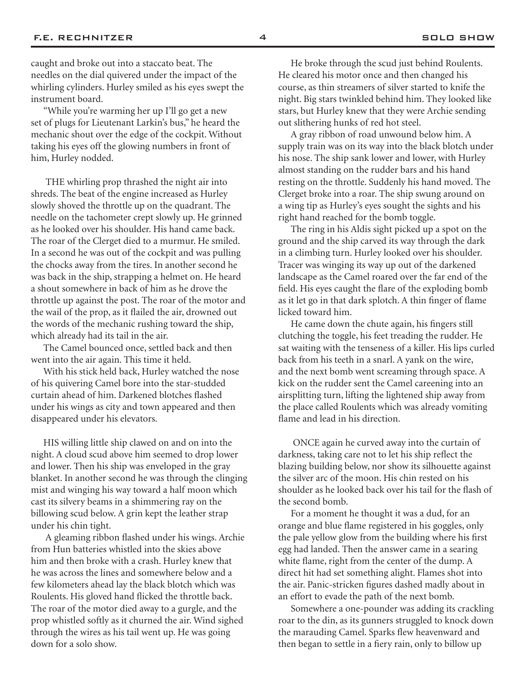caught and broke out into a staccato beat. The needles on the dial quivered under the impact of the whirling cylinders. Hurley smiled as his eyes swept the instrument board.

"While you're warming her up I'll go get a new set of plugs for Lieutenant Larkin's bus," he heard the mechanic shout over the edge of the cockpit. Without taking his eyes off the glowing numbers in front of him, Hurley nodded.

 THE whirling prop thrashed the night air into shreds. The beat of the engine increased as Hurley slowly shoved the throttle up on the quadrant. The needle on the tachometer crept slowly up. He grinned as he looked over his shoulder. His hand came back. The roar of the Clerget died to a murmur. He smiled. In a second he was out of the cockpit and was pulling the chocks away from the tires. In another second he was back in the ship, strapping a helmet on. He heard a shout somewhere in back of him as he drove the throttle up against the post. The roar of the motor and the wail of the prop, as it flailed the air, drowned out the words of the mechanic rushing toward the ship, which already had its tail in the air.

The Camel bounced once, settled back and then went into the air again. This time it held.

With his stick held back, Hurley watched the nose of his quivering Camel bore into the star-studded curtain ahead of him. Darkened blotches flashed under his wings as city and town appeared and then disappeared under his elevators.

HIS willing little ship clawed on and on into the night. A cloud scud above him seemed to drop lower and lower. Then his ship was enveloped in the gray blanket. In another second he was through the clinging mist and winging his way toward a half moon which cast its silvery beams in a shimmering ray on the billowing scud below. A grin kept the leather strap under his chin tight.

 A gleaming ribbon flashed under his wings. Archie from Hun batteries whistled into the skies above him and then broke with a crash. Hurley knew that he was across the lines and somewhere below and a few kilometers ahead lay the black blotch which was Roulents. His gloved hand flicked the throttle back. The roar of the motor died away to a gurgle, and the prop whistled softly as it churned the air. Wind sighed through the wires as his tail went up. He was going down for a solo show.

He broke through the scud just behind Roulents. He cleared his motor once and then changed his course, as thin streamers of silver started to knife the night. Big stars twinkled behind him. They looked like stars, but Hurley knew that they were Archie sending out slithering hunks of red hot steel.

A gray ribbon of road unwound below him. A supply train was on its way into the black blotch under his nose. The ship sank lower and lower, with Hurley almost standing on the rudder bars and his hand resting on the throttle. Suddenly his hand moved. The Clerget broke into a roar. The ship swung around on a wing tip as Hurley's eyes sought the sights and his right hand reached for the bomb toggle.

The ring in his Aldis sight picked up a spot on the ground and the ship carved its way through the dark in a climbing turn. Hurley looked over his shoulder. Tracer was winging its way up out of the darkened landscape as the Camel roared over the far end of the field. His eyes caught the flare of the exploding bomb as it let go in that dark splotch. A thin finger of flame licked toward him.

He came down the chute again, his fingers still clutching the toggle, his feet treading the rudder. He sat waiting with the tenseness of a killer. His lips curled back from his teeth in a snarl. A yank on the wire, and the next bomb went screaming through space. A kick on the rudder sent the Camel careening into an airsplitting turn, lifting the lightened ship away from the place called Roulents which was already vomiting flame and lead in his direction.

 ONCE again he curved away into the curtain of darkness, taking care not to let his ship reflect the blazing building below, nor show its silhouette against the silver arc of the moon. His chin rested on his shoulder as he looked back over his tail for the flash of the second bomb.

For a moment he thought it was a dud, for an orange and blue flame registered in his goggles, only the pale yellow glow from the building where his first egg had landed. Then the answer came in a searing white flame, right from the center of the dump. A direct hit had set something alight. Flames shot into the air. Panic-stricken figures dashed madly about in an effort to evade the path of the next bomb.

Somewhere a one-pounder was adding its crackling roar to the din, as its gunners struggled to knock down the marauding Camel. Sparks flew heavenward and then began to settle in a fiery rain, only to billow up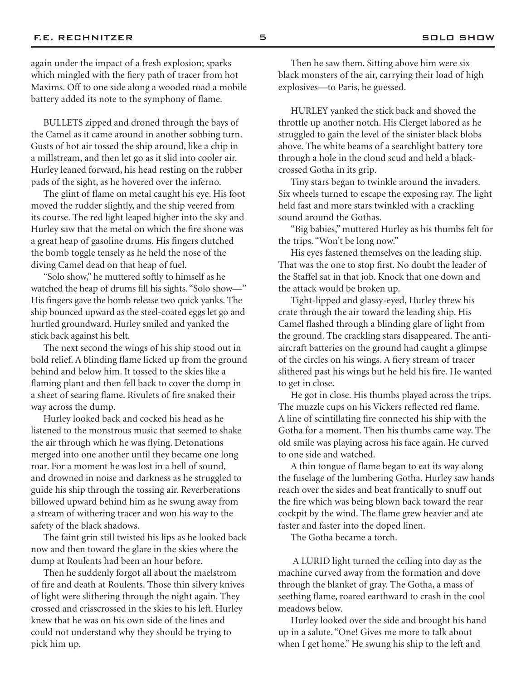again under the impact of a fresh explosion; sparks which mingled with the fiery path of tracer from hot Maxims. Off to one side along a wooded road a mobile battery added its note to the symphony of flame.

BULLETS zipped and droned through the bays of the Camel as it came around in another sobbing turn. Gusts of hot air tossed the ship around, like a chip in a millstream, and then let go as it slid into cooler air. Hurley leaned forward, his head resting on the rubber pads of the sight, as he hovered over the inferno.

The glint of flame on metal caught his eye. His foot moved the rudder slightly, and the ship veered from its course. The red light leaped higher into the sky and Hurley saw that the metal on which the fire shone was a great heap of gasoline drums. His fingers clutched the bomb toggle tensely as he held the nose of the diving Camel dead on that heap of fuel.

"Solo show," he muttered softly to himself as he watched the heap of drums fill his sights. "Solo show—" His fingers gave the bomb release two quick yanks. The ship bounced upward as the steel-coated eggs let go and hurtled groundward. Hurley smiled and yanked the stick back against his belt.

The next second the wings of his ship stood out in bold relief. A blinding flame licked up from the ground behind and below him. It tossed to the skies like a flaming plant and then fell back to cover the dump in a sheet of searing flame. Rivulets of fire snaked their way across the dump.

Hurley looked back and cocked his head as he listened to the monstrous music that seemed to shake the air through which he was flying. Detonations merged into one another until they became one long roar. For a moment he was lost in a hell of sound, and drowned in noise and darkness as he struggled to guide his ship through the tossing air. Reverberations billowed upward behind him as he swung away from a stream of withering tracer and won his way to the safety of the black shadows.

The faint grin still twisted his lips as he looked back now and then toward the glare in the skies where the dump at Roulents had been an hour before.

Then he suddenly forgot all about the maelstrom of fire and death at Roulents. Those thin silvery knives of light were slithering through the night again. They crossed and crisscrossed in the skies to his left. Hurley knew that he was on his own side of the lines and could not understand why they should be trying to pick him up.

Then he saw them. Sitting above him were six black monsters of the air, carrying their load of high explosives—to Paris, he guessed.

HURLEY yanked the stick back and shoved the throttle up another notch. His Clerget labored as he struggled to gain the level of the sinister black blobs above. The white beams of a searchlight battery tore through a hole in the cloud scud and held a blackcrossed Gotha in its grip.

Tiny stars began to twinkle around the invaders. Six wheels turned to escape the exposing ray. The light held fast and more stars twinkled with a crackling sound around the Gothas.

"Big babies," muttered Hurley as his thumbs felt for the trips. "Won't be long now."

His eyes fastened themselves on the leading ship. That was the one to stop first. No doubt the leader of the Staffel sat in that job. Knock that one down and the attack would be broken up.

Tight-lipped and glassy-eyed, Hurley threw his crate through the air toward the leading ship. His Camel flashed through a blinding glare of light from the ground. The crackling stars disappeared. The antiaircraft batteries on the ground had caught a glimpse of the circles on his wings. A fiery stream of tracer slithered past his wings but he held his fire. He wanted to get in close.

He got in close. His thumbs played across the trips. The muzzle cups on his Vickers reflected red flame. A line of scintillating fire connected his ship with the Gotha for a moment. Then his thumbs came way. The old smile was playing across his face again. He curved to one side and watched.

A thin tongue of flame began to eat its way along the fuselage of the lumbering Gotha. Hurley saw hands reach over the sides and beat frantically to snuff out the fire which was being blown back toward the rear cockpit by the wind. The flame grew heavier and ate faster and faster into the doped linen.

The Gotha became a torch.

 A LURID light turned the ceiling into day as the machine curved away from the formation and dove through the blanket of gray. The Gotha, a mass of seething flame, roared earthward to crash in the cool meadows below.

Hurley looked over the side and brought his hand up in a salute. "One! Gives me more to talk about when I get home." He swung his ship to the left and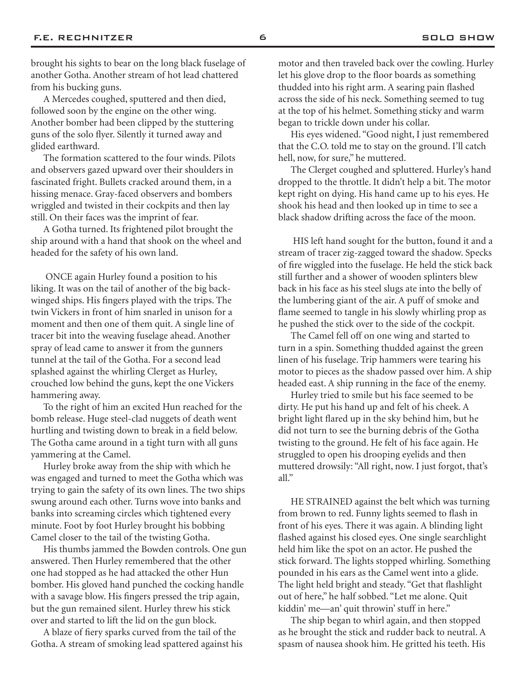brought his sights to bear on the long black fuselage of another Gotha. Another stream of hot lead chattered from his bucking guns.

A Mercedes coughed, sputtered and then died, followed soon by the engine on the other wing. Another bomber had been clipped by the stuttering guns of the solo flyer. Silently it turned away and glided earthward.

The formation scattered to the four winds. Pilots and observers gazed upward over their shoulders in fascinated fright. Bullets cracked around them, in a hissing menace. Gray-faced observers and bombers wriggled and twisted in their cockpits and then lay still. On their faces was the imprint of fear.

A Gotha turned. Its frightened pilot brought the ship around with a hand that shook on the wheel and headed for the safety of his own land.

 ONCE again Hurley found a position to his liking. It was on the tail of another of the big backwinged ships. His fingers played with the trips. The twin Vickers in front of him snarled in unison for a moment and then one of them quit. A single line of tracer bit into the weaving fuselage ahead. Another spray of lead came to answer it from the gunners tunnel at the tail of the Gotha. For a second lead splashed against the whirling Clerget as Hurley, crouched low behind the guns, kept the one Vickers hammering away.

To the right of him an excited Hun reached for the bomb release. Huge steel-clad nuggets of death went hurtling and twisting down to break in a field below. The Gotha came around in a tight turn with all guns yammering at the Camel.

Hurley broke away from the ship with which he was engaged and turned to meet the Gotha which was trying to gain the safety of its own lines. The two ships swung around each other. Turns wove into banks and banks into screaming circles which tightened every minute. Foot by foot Hurley brought his bobbing Camel closer to the tail of the twisting Gotha.

His thumbs jammed the Bowden controls. One gun answered. Then Hurley remembered that the other one had stopped as he had attacked the other Hun bomber. His gloved hand punched the cocking handle with a savage blow. His fingers pressed the trip again, but the gun remained silent. Hurley threw his stick over and started to lift the lid on the gun block.

A blaze of fiery sparks curved from the tail of the Gotha. A stream of smoking lead spattered against his motor and then traveled back over the cowling. Hurley let his glove drop to the floor boards as something thudded into his right arm. A searing pain flashed across the side of his neck. Something seemed to tug at the top of his helmet. Something sticky and warm began to trickle down under his collar.

His eyes widened. "Good night, I just remembered that the C.O. told me to stay on the ground. I'll catch hell, now, for sure," he muttered.

The Clerget coughed and spluttered. Hurley's hand dropped to the throttle. It didn't help a bit. The motor kept right on dying. His hand came up to his eyes. He shook his head and then looked up in time to see a black shadow drifting across the face of the moon.

 HIS left hand sought for the button, found it and a stream of tracer zig-zagged toward the shadow. Specks of fire wiggled into the fuselage. He held the stick back still further and a shower of wooden splinters blew back in his face as his steel slugs ate into the belly of the lumbering giant of the air. A puff of smoke and flame seemed to tangle in his slowly whirling prop as he pushed the stick over to the side of the cockpit.

The Camel fell off on one wing and started to turn in a spin. Something thudded against the green linen of his fuselage. Trip hammers were tearing his motor to pieces as the shadow passed over him. A ship headed east. A ship running in the face of the enemy.

Hurley tried to smile but his face seemed to be dirty. He put his hand up and felt of his cheek. A bright light flared up in the sky behind him, but he did not turn to see the burning debris of the Gotha twisting to the ground. He felt of his face again. He struggled to open his drooping eyelids and then muttered drowsily: "All right, now. I just forgot, that's all."

HE STRAINED against the belt which was turning from brown to red. Funny lights seemed to flash in front of his eyes. There it was again. A blinding light flashed against his closed eyes. One single searchlight held him like the spot on an actor. He pushed the stick forward. The lights stopped whirling. Something pounded in his ears as the Camel went into a glide. The light held bright and steady. "Get that flashlight out of here," he half sobbed. "Let me alone. Quit kiddin' me—an' quit throwin' stuff in here."

The ship began to whirl again, and then stopped as he brought the stick and rudder back to neutral. A spasm of nausea shook him. He gritted his teeth. His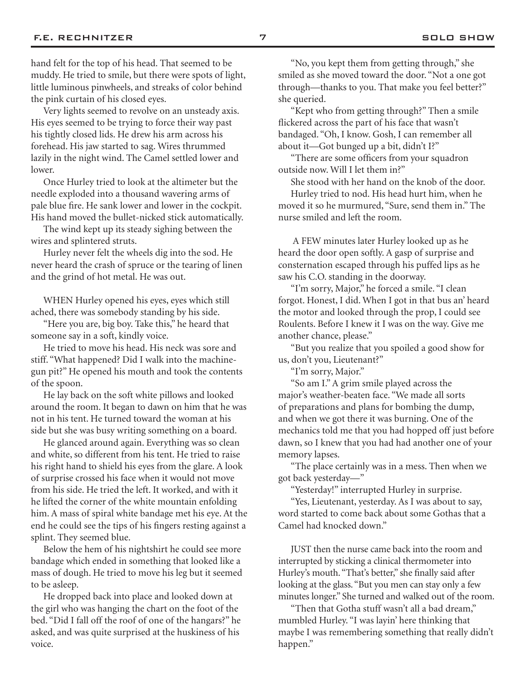hand felt for the top of his head. That seemed to be muddy. He tried to smile, but there were spots of light, little luminous pinwheels, and streaks of color behind the pink curtain of his closed eyes.

Very lights seemed to revolve on an unsteady axis. His eyes seemed to be trying to force their way past his tightly closed lids. He drew his arm across his forehead. His jaw started to sag. Wires thrummed lazily in the night wind. The Camel settled lower and lower.

Once Hurley tried to look at the altimeter but the needle exploded into a thousand wavering arms of pale blue fire. He sank lower and lower in the cockpit. His hand moved the bullet-nicked stick automatically.

The wind kept up its steady sighing between the wires and splintered struts.

Hurley never felt the wheels dig into the sod. He never heard the crash of spruce or the tearing of linen and the grind of hot metal. He was out.

WHEN Hurley opened his eyes, eyes which still ached, there was somebody standing by his side.

"Here you are, big boy. Take this," he heard that someone say in a soft, kindly voice.

He tried to move his head. His neck was sore and stiff. "What happened? Did I walk into the machinegun pit?" He opened his mouth and took the contents of the spoon.

He lay back on the soft white pillows and looked around the room. It began to dawn on him that he was not in his tent. He turned toward the woman at his side but she was busy writing something on a board.

He glanced around again. Everything was so clean and white, so different from his tent. He tried to raise his right hand to shield his eyes from the glare. A look of surprise crossed his face when it would not move from his side. He tried the left. It worked, and with it he lifted the corner of the white mountain enfolding him. A mass of spiral white bandage met his eye. At the end he could see the tips of his fingers resting against a splint. They seemed blue.

Below the hem of his nightshirt he could see more bandage which ended in something that looked like a mass of dough. He tried to move his leg but it seemed to be asleep.

He dropped back into place and looked down at the girl who was hanging the chart on the foot of the bed. "Did I fall off the roof of one of the hangars?" he asked, and was quite surprised at the huskiness of his voice.

"No, you kept them from getting through," she smiled as she moved toward the door. "Not a one got through—thanks to you. That make you feel better?" she queried.

"Kept who from getting through?" Then a smile flickered across the part of his face that wasn't bandaged. "Oh, I know. Gosh, I can remember all about it—Got bunged up a bit, didn't I?"

"There are some officers from your squadron outside now. Will I let them in?"

She stood with her hand on the knob of the door. Hurley tried to nod. His head hurt him, when he moved it so he murmured, "Sure, send them in." The nurse smiled and left the room.

 A FEW minutes later Hurley looked up as he heard the door open softly. A gasp of surprise and consternation escaped through his puffed lips as he saw his C.O. standing in the doorway.

"I'm sorry, Major," he forced a smile. "I clean forgot. Honest, I did. When I got in that bus an' heard the motor and looked through the prop, I could see Roulents. Before I knew it I was on the way. Give me another chance, please."

"But you realize that you spoiled a good show for us, don't you, Lieutenant?"

"I'm sorry, Major."

"So am I." A grim smile played across the major's weather-beaten face. "We made all sorts of preparations and plans for bombing the dump, and when we got there it was burning. One of the mechanics told me that you had hopped off just before dawn, so I knew that you had had another one of your memory lapses.

"The place certainly was in a mess. Then when we got back yesterday—"

"Yesterday!" interrupted Hurley in surprise.

"Yes, Lieutenant, yesterday. As I was about to say, word started to come back about some Gothas that a Camel had knocked down."

JUST then the nurse came back into the room and interrupted by sticking a clinical thermometer into Hurley's mouth. "That's better," she finally said after looking at the glass. "But you men can stay only a few minutes longer." She turned and walked out of the room.

"Then that Gotha stuff wasn't all a bad dream," mumbled Hurley. "I was layin' here thinking that maybe I was remembering something that really didn't happen."